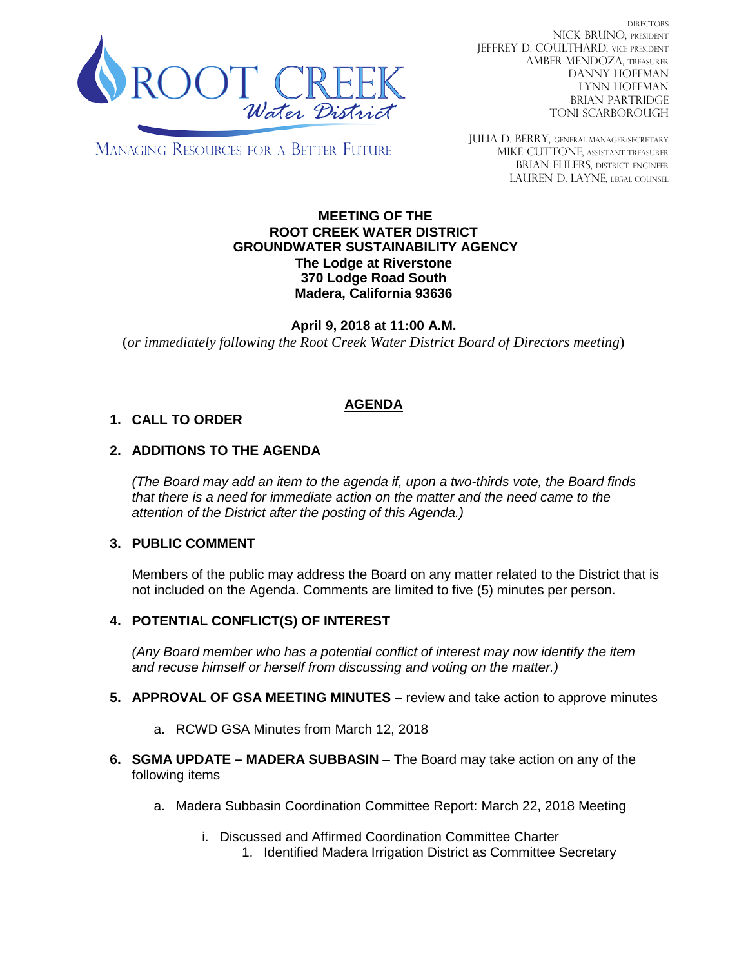

DIRECTORS NICK BRUNO, PRESIDENT JEFFREY D. COULTHARD, VICE PRESIDENT AMBER MENDOZA, TREASURER DANNY HOFFMAN LYNN HOFFMAN BRIAN PARTRIDGE TONI SCARBOROUGH

MANAGING RESOURCES FOR A BETTER FUTURE

JULIA D. BERRY, GENERAL MANAGER/secretary MIKE CUTTONE, Assistant treasurer BRIAN EHLERS, DISTRICT ENGINEER LAUREN D. LAYNE, LEGAL COUNSEL

#### **MEETING OF THE ROOT CREEK WATER DISTRICT GROUNDWATER SUSTAINABILITY AGENCY The Lodge at Riverstone 370 Lodge Road South Madera, California 93636**

**April 9, 2018 at 11:00 A.M.** (*or immediately following the Root Creek Water District Board of Directors meeting*)

# **AGENDA**

## **1. CALL TO ORDER**

## **2. ADDITIONS TO THE AGENDA**

*(The Board may add an item to the agenda if, upon a two-thirds vote, the Board finds that there is a need for immediate action on the matter and the need came to the attention of the District after the posting of this Agenda.)*

### **3. PUBLIC COMMENT**

Members of the public may address the Board on any matter related to the District that is not included on the Agenda. Comments are limited to five (5) minutes per person.

### **4. POTENTIAL CONFLICT(S) OF INTEREST**

*(Any Board member who has a potential conflict of interest may now identify the item and recuse himself or herself from discussing and voting on the matter.)*

- **5. APPROVAL OF GSA MEETING MINUTES** review and take action to approve minutes
	- a. RCWD GSA Minutes from March 12, 2018
- **6. SGMA UPDATE – MADERA SUBBASIN** The Board may take action on any of the following items
	- a. Madera Subbasin Coordination Committee Report: March 22, 2018 Meeting
		- i. Discussed and Affirmed Coordination Committee Charter 1. Identified Madera Irrigation District as Committee Secretary